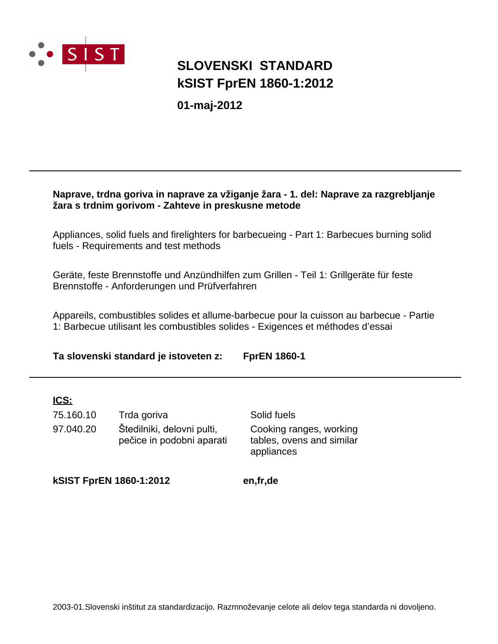

# **kSIST FprEN 1860-1:2012 SLOVENSKI STANDARD**

**01-maj-2012**

# **Naprave, trdna goriva in naprave za vžiganje žara - 1. del: Naprave za razgrebljanje žara s trdnim gorivom - Zahteve in preskusne metode**

Appliances, solid fuels and firelighters for barbecueing - Part 1: Barbecues burning solid fuels - Requirements and test methods

Geräte, feste Brennstoffe und Anzündhilfen zum Grillen - Teil 1: Grillgeräte für feste Brennstoffe - Anforderungen und Prüfverfahren

Appareils, combustibles solides et allume-barbecue pour la cuisson au barbecue - Partie 1: Barbecue utilisant les combustibles solides - Exigences et méthodes d'essai

**Ta slovenski standard je istoveten z: FprEN 1860-1**

# **ICS:**

97.040.20 Štedilniki, delovni pulti, pečice in podobni aparati 75.160.10 Trda goriva Solid fuels

Cooking ranges, working tables, ovens and similar appliances

**kSIST FprEN 1860-1:2012 en,fr,de**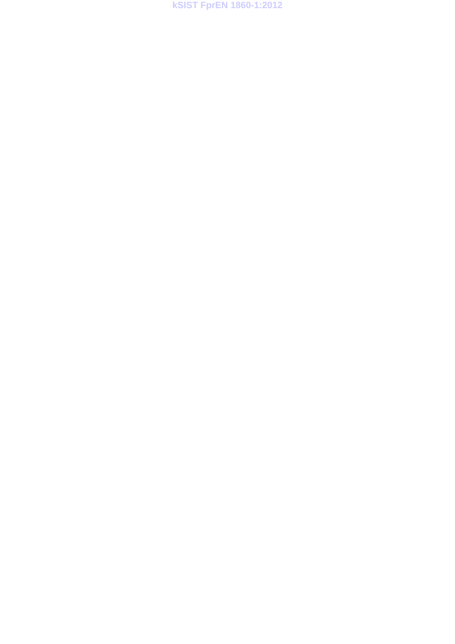**kSIST FprEN 1860-1:2012**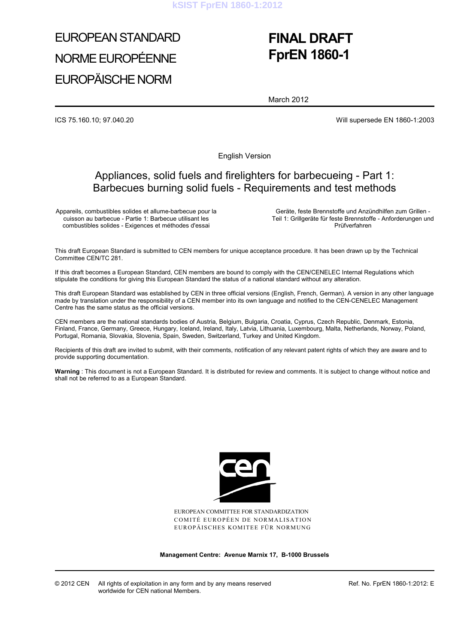# EUROPEAN STANDARD NORME EUROPÉENNE EUROPÄISCHE NORM

# **FINAL DRAFT FprEN 1860-1**

March 2012

ICS 75.160.10; 97.040.20 Will supersede EN 1860-1:2003

English Version

# Appliances, solid fuels and firelighters for barbecueing - Part 1: Barbecues burning solid fuels - Requirements and test methods

Appareils, combustibles solides et allume-barbecue pour la cuisson au barbecue - Partie 1: Barbecue utilisant les combustibles solides - Exigences et méthodes d'essai

 Geräte, feste Brennstoffe und Anzündhilfen zum Grillen - Teil 1: Grillgeräte für feste Brennstoffe - Anforderungen und Prüfverfahren

This draft European Standard is submitted to CEN members for unique acceptance procedure. It has been drawn up by the Technical Committee CEN/TC 281.

If this draft becomes a European Standard, CEN members are bound to comply with the CEN/CENELEC Internal Regulations which stipulate the conditions for giving this European Standard the status of a national standard without any alteration.

This draft European Standard was established by CEN in three official versions (English, French, German). A version in any other language made by translation under the responsibility of a CEN member into its own language and notified to the CEN-CENELEC Management Centre has the same status as the official versions.

CEN members are the national standards bodies of Austria, Belgium, Bulgaria, Croatia, Cyprus, Czech Republic, Denmark, Estonia, Finland, France, Germany, Greece, Hungary, Iceland, Ireland, Italy, Latvia, Lithuania, Luxembourg, Malta, Netherlands, Norway, Poland, Portugal, Romania, Slovakia, Slovenia, Spain, Sweden, Switzerland, Turkey and United Kingdom.

Recipients of this draft are invited to submit, with their comments, notification of any relevant patent rights of which they are aware and to provide supporting documentation.

**Warning** : This document is not a European Standard. It is distributed for review and comments. It is subject to change without notice and shall not be referred to as a European Standard.



EUROPEAN COMMITTEE FOR STANDARDIZATION COMITÉ EUROPÉEN DE NORMALISATION EUROPÄISCHES KOMITEE FÜR NORMUNG

**Management Centre: Avenue Marnix 17, B-1000 Brussels**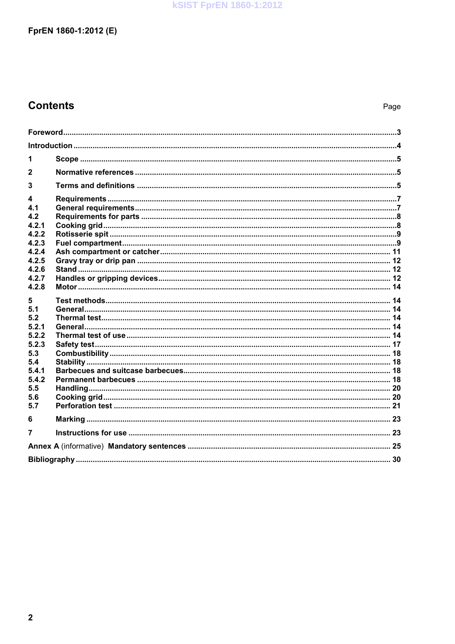# FprEN 1860-1:2012 (E)

# **Contents**

| $\mathbf{2}$                                                                                    |  |  |
|-------------------------------------------------------------------------------------------------|--|--|
| 3                                                                                               |  |  |
| 4<br>4.1<br>4.2<br>4.2.1<br>4.2.2<br>4.2.3<br>4.2.4<br>4.2.5<br>4.2.6<br>4.2.7                  |  |  |
| 4.2.8                                                                                           |  |  |
| 5<br>5.1<br>5.2<br>5.2.1<br>5.2.2<br>5.2.3<br>5.3<br>5.4<br>5.4.1<br>5.4.2<br>5.5<br>5.6<br>5.7 |  |  |
| 6                                                                                               |  |  |
| 7                                                                                               |  |  |
|                                                                                                 |  |  |
|                                                                                                 |  |  |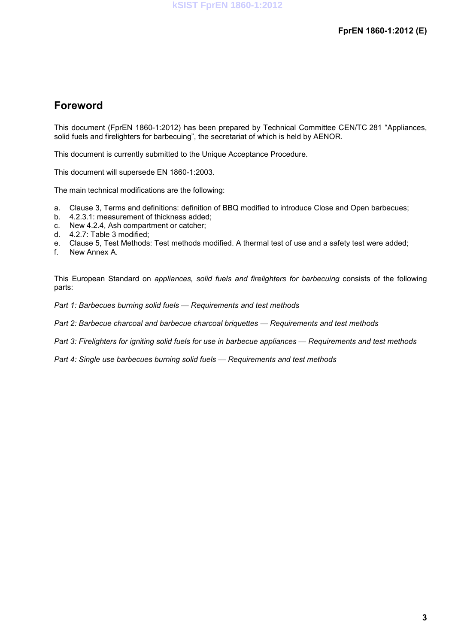# **Foreword**

This document (FprEN 1860-1:2012) has been prepared by Technical Committee CEN/TC 281 "Appliances, solid fuels and firelighters for barbecuing", the secretariat of which is held by AENOR.

This document is currently submitted to the Unique Acceptance Procedure.

This document will supersede EN 1860-1:2003.

The main technical modifications are the following:

- a. Clause 3, Terms and definitions: definition of BBQ modified to introduce Close and Open barbecues;
- b. 4.2.3.1: measurement of thickness added;
- c. New 4.2.4, Ash compartment or catcher;
- d. 4.2.7: Table 3 modified;
- e. Clause 5, Test Methods: Test methods modified. A thermal test of use and a safety test were added;
- f. New Annex A.

This European Standard on *appliances, solid fuels and firelighters for barbecuing* consists of the following parts:

*Part 1: Barbecues burning solid fuels — Requirements and test methods* 

*Part 2: Barbecue charcoal and barbecue charcoal briquettes — Requirements and test methods* 

*Part 3: Firelighters for igniting solid fuels for use in barbecue appliances — Requirements and test methods* 

*Part 4: Single use barbecues burning solid fuels — Requirements and test methods*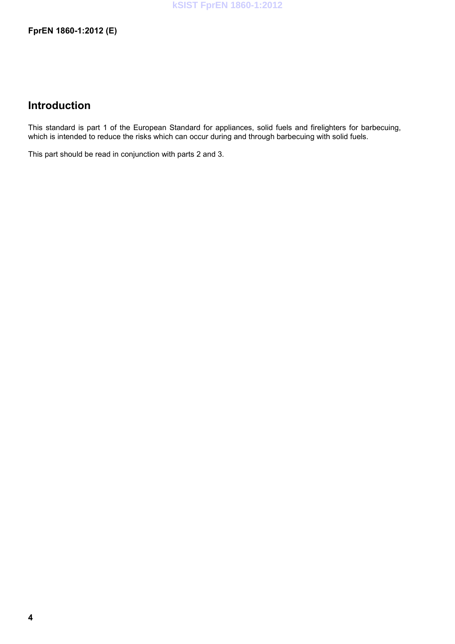**FprEN 1860-1:2012 (E)** 

# **Introduction**

This standard is part 1 of the European Standard for appliances, solid fuels and firelighters for barbecuing, which is intended to reduce the risks which can occur during and through barbecuing with solid fuels.

This part should be read in conjunction with parts 2 and 3.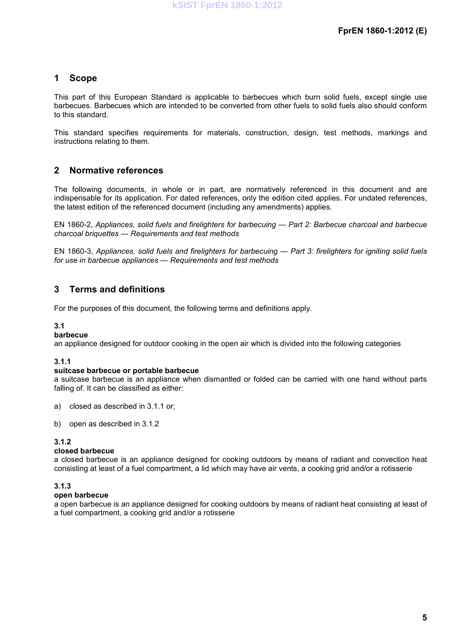# **1 Scope**

This part of this European Standard is applicable to barbecues which burn solid fuels, except single use barbecues. Barbecues which are intended to be converted from other fuels to solid fuels also should conform to this standard.

This standard specifies requirements for materials, construction, design, test methods, markings and instructions relating to them.

## **2 Normative references**

The following documents, in whole or in part, are normatively referenced in this document and are indispensable for its application. For dated references, only the edition cited applies. For undated references, the latest edition of the referenced document (including any amendments) applies.

EN 1860-2, *Appliances, solid fuels and firelighters for barbecuing — Part 2: Barbecue charcoal and barbecue charcoal briquettes — Requirements and test methods*

EN 1860-3, *Appliances, solid fuels and firelighters for barbecuing — Part 3: firelighters for igniting solid fuels for use in barbecue appliances — Requirements and test methods*

# **3 Terms and definitions**

For the purposes of this document, the following terms and definitions apply.

#### **3.1**

#### **barbecue**

an appliance designed for outdoor cooking in the open air which is divided into the following categories

#### **3.1.1**

#### **suitcase barbecue or portable barbecue**

a suitcase barbecue is an appliance when dismantled or folded can be carried with one hand without parts falling of. It can be classified as either:

- a) closed as described in 3.1.1 or;
- b) open as described in 3.1.2

#### **3.1.2**

#### **closed barbecue**

a closed barbecue is an appliance designed for cooking outdoors by means of radiant and convection heat consisting at least of a fuel compartment, a lid which may have air vents, a cooking grid and/or a rotisserie

#### **3.1.3**

#### **open barbecue**

a open barbecue is an appliance designed for cooking outdoors by means of radiant heat consisting at least of a fuel compartment, a cooking grid and/or a rotisserie